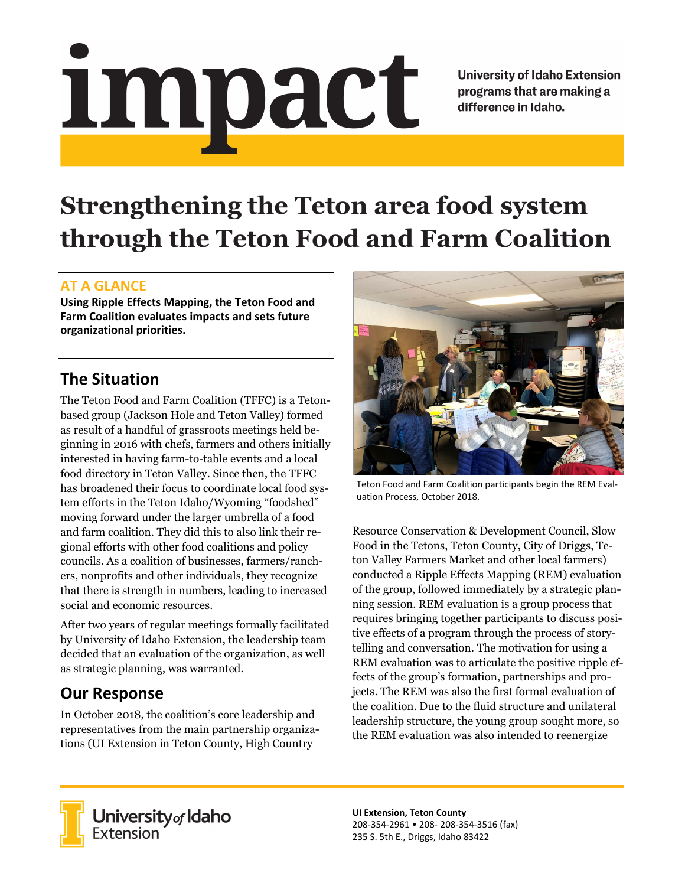# impact

**University of Idaho Extension** programs that are making a difference in Idaho.

# **Strengthening the Teton area food system through the Teton Food and Farm Coalition**

### **AT A GLANCE**

**Using Ripple Effects Mapping, the Teton Food and Farm Coalition evaluates impacts and sets future organizational priorities.**

### **The Situation**

The Teton Food and Farm Coalition (TFFC) is a Tetonbased group (Jackson Hole and Teton Valley) formed as result of a handful of grassroots meetings held beginning in 2016 with chefs, farmers and others initially interested in having farm-to-table events and a local food directory in Teton Valley. Since then, the TFFC has broadened their focus to coordinate local food system efforts in the Teton Idaho/Wyoming "foodshed" moving forward under the larger umbrella of a food and farm coalition. They did this to also link their regional efforts with other food coalitions and policy councils. As a coalition of businesses, farmers/ranchers, nonprofits and other individuals, they recognize that there is strength in numbers, leading to increased social and economic resources.

After two years of regular meetings formally facilitated by University of Idaho Extension, the leadership team decided that an evaluation of the organization, as well as strategic planning, was warranted.

## **Our Response**

In October 2018, the coalition's core leadership and representatives from the main partnership organizations (UI Extension in Teton County, High Country



Teton Food and Farm Coalition participants begin the REM Eval‐ uation Process, October 2018.

Resource Conservation & Development Council, Slow Food in the Tetons, Teton County, City of Driggs, Teton Valley Farmers Market and other local farmers) conducted a Ripple Effects Mapping (REM) evaluation of the group, followed immediately by a strategic planning session. REM evaluation is a group process that requires bringing together participants to discuss positive effects of a program through the process of storytelling and conversation. The motivation for using a REM evaluation was to articulate the positive ripple effects of the group's formation, partnerships and projects. The REM was also the first formal evaluation of the coalition. Due to the fluid structure and unilateral leadership structure, the young group sought more, so the REM evaluation was also intended to reenergize



**University** of Idaho<br>Extension

**UI Extension, Teton County** 208‐354‐2961 • 208‐ 208‐354‐3516 (fax) 235 S. 5th E., Driggs, Idaho 83422